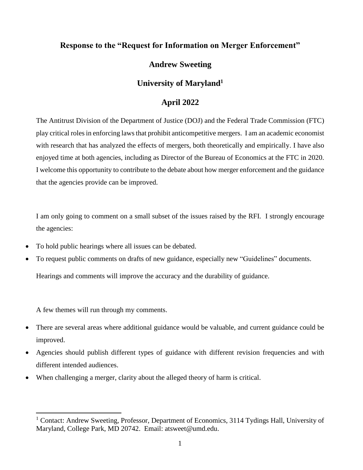# **Response to the "Request for Information on Merger Enforcement"**

# **Andrew Sweeting**

## **University of Maryland<sup>1</sup>**

## **April 2022**

The Antitrust Division of the Department of Justice (DOJ) and the Federal Trade Commission (FTC) play critical roles in enforcing laws that prohibit anticompetitive mergers. I am an academic economist with research that has analyzed the effects of mergers, both theoretically and empirically. I have also enjoyed time at both agencies, including as Director of the Bureau of Economics at the FTC in 2020. I welcome this opportunity to contribute to the debate about how merger enforcement and the guidance that the agencies provide can be improved.

I am only going to comment on a small subset of the issues raised by the RFI. I strongly encourage the agencies:

- To hold public hearings where all issues can be debated.
- To request public comments on drafts of new guidance, especially new "Guidelines" documents.

Hearings and comments will improve the accuracy and the durability of guidance.

A few themes will run through my comments.

- There are several areas where additional guidance would be valuable, and current guidance could be improved.
- Agencies should publish different types of guidance with different revision frequencies and with different intended audiences.
- When challenging a merger, clarity about the alleged theory of harm is critical.

<sup>&</sup>lt;sup>1</sup> Contact: Andrew Sweeting, Professor, Department of Economics, 3114 Tydings Hall, University of Maryland, College Park, MD 20742. Email: atsweet@umd.edu.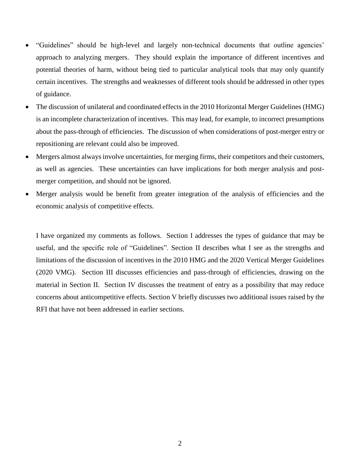- "Guidelines" should be high-level and largely non-technical documents that outline agencies' approach to analyzing mergers. They should explain the importance of different incentives and potential theories of harm, without being tied to particular analytical tools that may only quantify certain incentives. The strengths and weaknesses of different tools should be addressed in other types of guidance.
- The discussion of unilateral and coordinated effects in the 2010 Horizontal Merger Guidelines (HMG) is an incomplete characterization of incentives. This may lead, for example, to incorrect presumptions about the pass-through of efficiencies. The discussion of when considerations of post-merger entry or repositioning are relevant could also be improved.
- Mergers almost always involve uncertainties, for merging firms, their competitors and their customers, as well as agencies. These uncertainties can have implications for both merger analysis and postmerger competition, and should not be ignored.
- Merger analysis would be benefit from greater integration of the analysis of efficiencies and the economic analysis of competitive effects.

I have organized my comments as follows. Section I addresses the types of guidance that may be useful, and the specific role of "Guidelines". Section II describes what I see as the strengths and limitations of the discussion of incentives in the 2010 HMG and the 2020 Vertical Merger Guidelines (2020 VMG). Section III discusses efficiencies and pass-through of efficiencies, drawing on the material in Section II. Section IV discusses the treatment of entry as a possibility that may reduce concerns about anticompetitive effects. Section V briefly discusses two additional issues raised by the RFI that have not been addressed in earlier sections.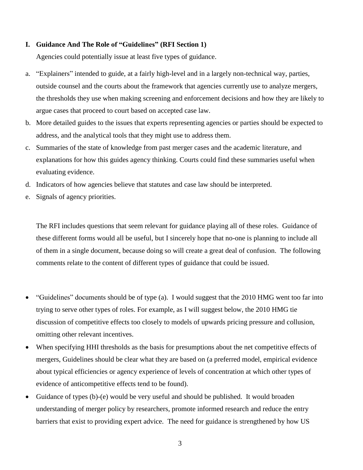### **I. Guidance And The Role of "Guidelines" (RFI Section 1)**

Agencies could potentially issue at least five types of guidance.

- a. "Explainers" intended to guide, at a fairly high-level and in a largely non-technical way, parties, outside counsel and the courts about the framework that agencies currently use to analyze mergers, the thresholds they use when making screening and enforcement decisions and how they are likely to argue cases that proceed to court based on accepted case law.
- b. More detailed guides to the issues that experts representing agencies or parties should be expected to address, and the analytical tools that they might use to address them.
- c. Summaries of the state of knowledge from past merger cases and the academic literature, and explanations for how this guides agency thinking. Courts could find these summaries useful when evaluating evidence.
- d. Indicators of how agencies believe that statutes and case law should be interpreted.
- e. Signals of agency priorities.

The RFI includes questions that seem relevant for guidance playing all of these roles. Guidance of these different forms would all be useful, but I sincerely hope that no-one is planning to include all of them in a single document, because doing so will create a great deal of confusion. The following comments relate to the content of different types of guidance that could be issued.

- "Guidelines" documents should be of type (a). I would suggest that the 2010 HMG went too far into trying to serve other types of roles. For example, as I will suggest below, the 2010 HMG tie discussion of competitive effects too closely to models of upwards pricing pressure and collusion, omitting other relevant incentives.
- When specifying HHI thresholds as the basis for presumptions about the net competitive effects of mergers, Guidelines should be clear what they are based on (a preferred model, empirical evidence about typical efficiencies or agency experience of levels of concentration at which other types of evidence of anticompetitive effects tend to be found).
- Guidance of types (b)-(e) would be very useful and should be published. It would broaden understanding of merger policy by researchers, promote informed research and reduce the entry barriers that exist to providing expert advice. The need for guidance is strengthened by how US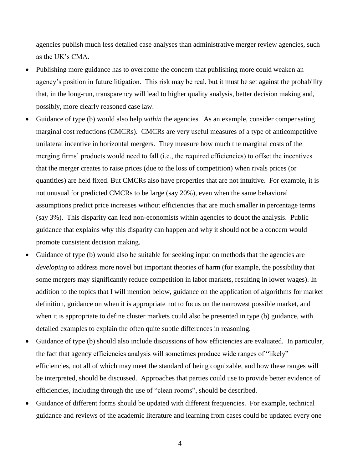agencies publish much less detailed case analyses than administrative merger review agencies, such as the UK's CMA.

- Publishing more guidance has to overcome the concern that publishing more could weaken an agency's position in future litigation. This risk may be real, but it must be set against the probability that, in the long-run, transparency will lead to higher quality analysis, better decision making and, possibly, more clearly reasoned case law.
- Guidance of type (b) would also help *within* the agencies. As an example, consider compensating marginal cost reductions (CMCRs). CMCRs are very useful measures of a type of anticompetitive unilateral incentive in horizontal mergers. They measure how much the marginal costs of the merging firms' products would need to fall (i.e., the required efficiencies) to offset the incentives that the merger creates to raise prices (due to the loss of competition) when rivals prices (or quantities) are held fixed. But CMCRs also have properties that are not intuitive. For example, it is not unusual for predicted CMCRs to be large (say 20%), even when the same behavioral assumptions predict price increases without efficiencies that are much smaller in percentage terms (say 3%). This disparity can lead non-economists within agencies to doubt the analysis. Public guidance that explains why this disparity can happen and why it should not be a concern would promote consistent decision making.
- Guidance of type (b) would also be suitable for seeking input on methods that the agencies are *developing* to address more novel but important theories of harm (for example, the possibility that some mergers may significantly reduce competition in labor markets, resulting in lower wages). In addition to the topics that I will mention below, guidance on the application of algorithms for market definition, guidance on when it is appropriate not to focus on the narrowest possible market, and when it is appropriate to define cluster markets could also be presented in type (b) guidance, with detailed examples to explain the often quite subtle differences in reasoning.
- Guidance of type (b) should also include discussions of how efficiencies are evaluated. In particular, the fact that agency efficiencies analysis will sometimes produce wide ranges of "likely" efficiencies, not all of which may meet the standard of being cognizable, and how these ranges will be interpreted, should be discussed. Approaches that parties could use to provide better evidence of efficiencies, including through the use of "clean rooms", should be described.
- Guidance of different forms should be updated with different frequencies. For example, technical guidance and reviews of the academic literature and learning from cases could be updated every one

4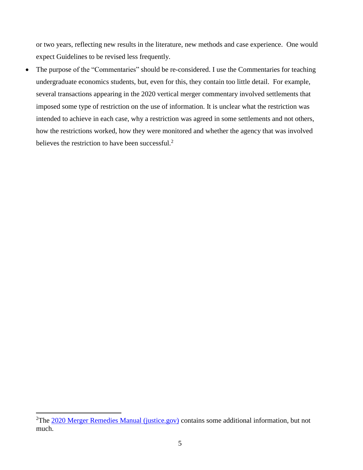or two years, reflecting new results in the literature, new methods and case experience. One would expect Guidelines to be revised less frequently.

• The purpose of the "Commentaries" should be re-considered. I use the Commentaries for teaching undergraduate economics students, but, even for this, they contain too little detail. For example, several transactions appearing in the 2020 vertical merger commentary involved settlements that imposed some type of restriction on the use of information. It is unclear what the restriction was intended to achieve in each case, why a restriction was agreed in some settlements and not others, how the restrictions worked, how they were monitored and whether the agency that was involved believes the restriction to have been successful. $2$ 

<sup>&</sup>lt;sup>2</sup>The  $2020$  Merger Remedies Manual (justice.gov) contains some additional information, but not much.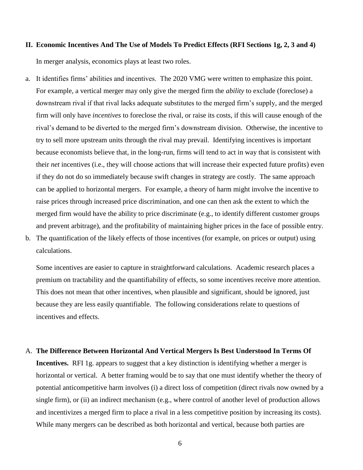#### **II. Economic Incentives And The Use of Models To Predict Effects (RFI Sections 1g, 2, 3 and 4)**

In merger analysis, economics plays at least two roles.

- a. It identifies firms' abilities and incentives. The 2020 VMG were written to emphasize this point. For example, a vertical merger may only give the merged firm the *ability* to exclude (foreclose) a downstream rival if that rival lacks adequate substitutes to the merged firm's supply, and the merged firm will only have *incentives* to foreclose the rival, or raise its costs, if this will cause enough of the rival's demand to be diverted to the merged firm's downstream division. Otherwise, the incentive to try to sell more upstream units through the rival may prevail. Identifying incentives is important because economists believe that, in the long-run, firms will tend to act in way that is consistent with their *net* incentives (i.e., they will choose actions that will increase their expected future profits) even if they do not do so immediately because swift changes in strategy are costly. The same approach can be applied to horizontal mergers. For example, a theory of harm might involve the incentive to raise prices through increased price discrimination, and one can then ask the extent to which the merged firm would have the ability to price discriminate (e.g., to identify different customer groups and prevent arbitrage), and the profitability of maintaining higher prices in the face of possible entry.
- b. The quantification of the likely effects of those incentives (for example, on prices or output) using calculations.

Some incentives are easier to capture in straightforward calculations. Academic research places a premium on tractability and the quantifiability of effects, so some incentives receive more attention. This does not mean that other incentives, when plausible and significant, should be ignored, just because they are less easily quantifiable. The following considerations relate to questions of incentives and effects.

A. **The Difference Between Horizontal And Vertical Mergers Is Best Understood In Terms Of Incentives.** RFI 1g. appears to suggest that a key distinction is identifying whether a merger is horizontal or vertical. A better framing would be to say that one must identify whether the theory of potential anticompetitive harm involves (i) a direct loss of competition (direct rivals now owned by a single firm), or (ii) an indirect mechanism (e.g., where control of another level of production allows and incentivizes a merged firm to place a rival in a less competitive position by increasing its costs). While many mergers can be described as both horizontal and vertical, because both parties are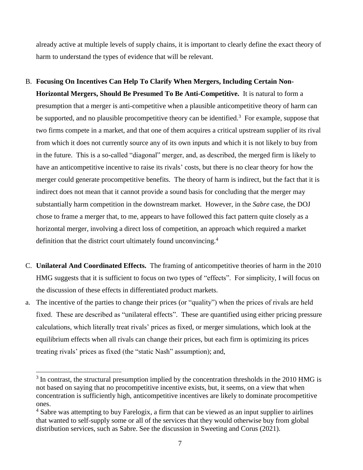already active at multiple levels of supply chains, it is important to clearly define the exact theory of harm to understand the types of evidence that will be relevant.

- B. **Focusing On Incentives Can Help To Clarify When Mergers, Including Certain Non-Horizontal Mergers, Should Be Presumed To Be Anti-Competitive.** It is natural to form a presumption that a merger is anti-competitive when a plausible anticompetitive theory of harm can be supported, and no plausible procompetitive theory can be identified.<sup>3</sup> For example, suppose that two firms compete in a market, and that one of them acquires a critical upstream supplier of its rival from which it does not currently source any of its own inputs and which it is not likely to buy from in the future. This is a so-called "diagonal" merger, and, as described, the merged firm is likely to have an anticompetitive incentive to raise its rivals' costs, but there is no clear theory for how the merger could generate procompetitive benefits. The theory of harm is indirect, but the fact that it is indirect does not mean that it cannot provide a sound basis for concluding that the merger may substantially harm competition in the downstream market. However, in the *Sabre* case, the DOJ chose to frame a merger that, to me, appears to have followed this fact pattern quite closely as a horizontal merger, involving a direct loss of competition, an approach which required a market definition that the district court ultimately found unconvincing.<sup>4</sup>
- C. **Unilateral And Coordinated Effects.** The framing of anticompetitive theories of harm in the 2010 HMG suggests that it is sufficient to focus on two types of "effects". For simplicity, I will focus on the discussion of these effects in differentiated product markets.
- a. The incentive of the parties to change their prices (or "quality") when the prices of rivals are held fixed. These are described as "unilateral effects". These are quantified using either pricing pressure calculations, which literally treat rivals' prices as fixed, or merger simulations, which look at the equilibrium effects when all rivals can change their prices, but each firm is optimizing its prices treating rivals' prices as fixed (the "static Nash" assumption); and,

 $3$  In contrast, the structural presumption implied by the concentration thresholds in the 2010 HMG is not based on saying that no procompetitive incentive exists, but, it seems, on a view that when concentration is sufficiently high, anticompetitive incentives are likely to dominate procompetitive ones.

<sup>&</sup>lt;sup>4</sup> Sabre was attempting to buy Farelogix, a firm that can be viewed as an input supplier to airlines that wanted to self-supply some or all of the services that they would otherwise buy from global distribution services, such as Sabre. See the discussion in Sweeting and Corus (2021).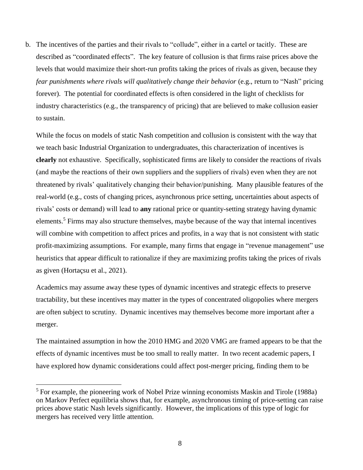b. The incentives of the parties and their rivals to "collude", either in a cartel or tacitly. These are described as "coordinated effects". The key feature of collusion is that firms raise prices above the levels that would maximize their short-run profits taking the prices of rivals as given, because they *fear punishments where rivals will qualitatively change their behavior* (e.g., return to "Nash" pricing forever). The potential for coordinated effects is often considered in the light of checklists for industry characteristics (e.g., the transparency of pricing) that are believed to make collusion easier to sustain.

While the focus on models of static Nash competition and collusion is consistent with the way that we teach basic Industrial Organization to undergraduates, this characterization of incentives is **clearly** not exhaustive. Specifically, sophisticated firms are likely to consider the reactions of rivals (and maybe the reactions of their own suppliers and the suppliers of rivals) even when they are not threatened by rivals' qualitatively changing their behavior/punishing. Many plausible features of the real-world (e.g., costs of changing prices, asynchronous price setting, uncertainties about aspects of rivals' costs or demand) will lead to **any** rational price or quantity-setting strategy having dynamic elements.<sup>5</sup> Firms may also structure themselves, maybe because of the way that internal incentives will combine with competition to affect prices and profits, in a way that is not consistent with static profit-maximizing assumptions. For example, many firms that engage in "revenue management" use heuristics that appear difficult to rationalize if they are maximizing profits taking the prices of rivals as given (Hortaçsu et al., 2021).

Academics may assume away these types of dynamic incentives and strategic effects to preserve tractability, but these incentives may matter in the types of concentrated oligopolies where mergers are often subject to scrutiny. Dynamic incentives may themselves become more important after a merger.

The maintained assumption in how the 2010 HMG and 2020 VMG are framed appears to be that the effects of dynamic incentives must be too small to really matter. In two recent academic papers, I have explored how dynamic considerations could affect post-merger pricing, finding them to be

<sup>5</sup> For example, the pioneering work of Nobel Prize winning economists Maskin and Tirole (1988a) on Markov Perfect equilibria shows that, for example, asynchronous timing of price-setting can raise prices above static Nash levels significantly. However, the implications of this type of logic for mergers has received very little attention.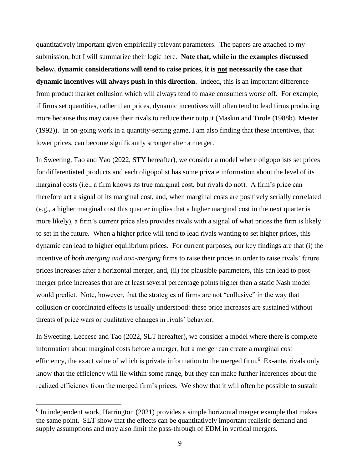quantitatively important given empirically relevant parameters. The papers are attached to my submission, but I will summarize their logic here. **Note that, while in the examples discussed below, dynamic considerations will tend to raise prices, it is not necessarily the case that dynamic incentives will always push in this direction.** Indeed, this is an important difference from product market collusion which will always tend to make consumers worse off**.** For example, if firms set quantities, rather than prices, dynamic incentives will often tend to lead firms producing more because this may cause their rivals to reduce their output (Maskin and Tirole (1988b), Mester (1992)). In on-going work in a quantity-setting game, I am also finding that these incentives, that lower prices, can become significantly stronger after a merger.

In Sweeting, Tao and Yao (2022, STY hereafter), we consider a model where oligopolists set prices for differentiated products and each oligopolist has some private information about the level of its marginal costs (i.e., a firm knows its true marginal cost, but rivals do not). A firm's price can therefore act a signal of its marginal cost, and, when marginal costs are positively serially correlated (e.g., a higher marginal cost this quarter implies that a higher marginal cost in the next quarter is more likely), a firm's current price also provides rivals with a signal of what prices the firm is likely to set in the future. When a higher price will tend to lead rivals wanting to set higher prices, this dynamic can lead to higher equilibrium prices. For current purposes, our key findings are that (i) the incentive of *both merging and non-merging* firms to raise their prices in order to raise rivals' future prices increases after a horizontal merger, and, (ii) for plausible parameters, this can lead to postmerger price increases that are at least several percentage points higher than a static Nash model would predict. Note, however, that the strategies of firms are not "collusive" in the way that collusion or coordinated effects is usually understood: these price increases are sustained without threats of price wars or qualitative changes in rivals' behavior.

In Sweeting, Leccese and Tao (2022, SLT hereafter), we consider a model where there is complete information about marginal costs before a merger, but a merger can create a marginal cost efficiency, the exact value of which is private information to the merged firm.<sup>6</sup> Ex-ante, rivals only know that the efficiency will lie within some range, but they can make further inferences about the realized efficiency from the merged firm's prices. We show that it will often be possible to sustain

 $6$  In independent work, Harrington (2021) provides a simple horizontal merger example that makes the same point. SLT show that the effects can be quantitatively important realistic demand and supply assumptions and may also limit the pass-through of EDM in vertical mergers.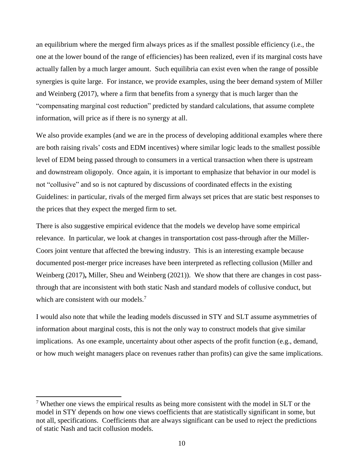an equilibrium where the merged firm always prices as if the smallest possible efficiency (i.e., the one at the lower bound of the range of efficiencies) has been realized, even if its marginal costs have actually fallen by a much larger amount. Such equilibria can exist even when the range of possible synergies is quite large. For instance, we provide examples, using the beer demand system of Miller and Weinberg (2017), where a firm that benefits from a synergy that is much larger than the "compensating marginal cost reduction" predicted by standard calculations, that assume complete information, will price as if there is no synergy at all.

We also provide examples (and we are in the process of developing additional examples where there are both raising rivals' costs and EDM incentives) where similar logic leads to the smallest possible level of EDM being passed through to consumers in a vertical transaction when there is upstream and downstream oligopoly. Once again, it is important to emphasize that behavior in our model is not "collusive" and so is not captured by discussions of coordinated effects in the existing Guidelines: in particular, rivals of the merged firm always set prices that are static best responses to the prices that they expect the merged firm to set.

There is also suggestive empirical evidence that the models we develop have some empirical relevance. In particular, we look at changes in transportation cost pass-through after the Miller-Coors joint venture that affected the brewing industry. This is an interesting example because documented post-merger price increases have been interpreted as reflecting collusion (Miller and Weinberg (2017)**,** Miller, Sheu and Weinberg (2021)). We show that there are changes in cost passthrough that are inconsistent with both static Nash and standard models of collusive conduct, but which are consistent with our models.<sup>7</sup>

I would also note that while the leading models discussed in STY and SLT assume asymmetries of information about marginal costs, this is not the only way to construct models that give similar implications. As one example, uncertainty about other aspects of the profit function (e.g., demand, or how much weight managers place on revenues rather than profits) can give the same implications.

 $\ddot{\phantom{a}}$ 

<sup>&</sup>lt;sup>7</sup> Whether one views the empirical results as being more consistent with the model in SLT or the model in STY depends on how one views coefficients that are statistically significant in some, but not all, specifications. Coefficients that are always significant can be used to reject the predictions of static Nash and tacit collusion models.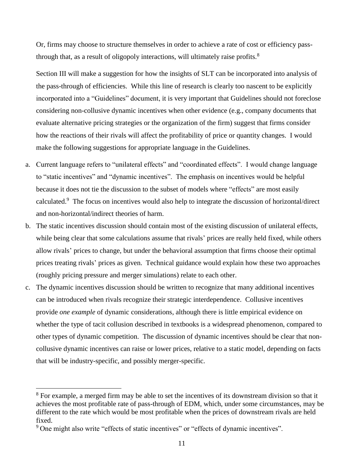Or, firms may choose to structure themselves in order to achieve a rate of cost or efficiency passthrough that, as a result of oligopoly interactions, will ultimately raise profits.<sup>8</sup>

Section III will make a suggestion for how the insights of SLT can be incorporated into analysis of the pass-through of efficiencies. While this line of research is clearly too nascent to be explicitly incorporated into a "Guidelines" document, it is very important that Guidelines should not foreclose considering non-collusive dynamic incentives when other evidence (e.g., company documents that evaluate alternative pricing strategies or the organization of the firm) suggest that firms consider how the reactions of their rivals will affect the profitability of price or quantity changes. I would make the following suggestions for appropriate language in the Guidelines.

- a. Current language refers to "unilateral effects" and "coordinated effects". I would change language to "static incentives" and "dynamic incentives". The emphasis on incentives would be helpful because it does not tie the discussion to the subset of models where "effects" are most easily calculated.<sup>9</sup> The focus on incentives would also help to integrate the discussion of horizontal/direct and non-horizontal/indirect theories of harm.
- b. The static incentives discussion should contain most of the existing discussion of unilateral effects, while being clear that some calculations assume that rivals' prices are really held fixed, while others allow rivals' prices to change, but under the behavioral assumption that firms choose their optimal prices treating rivals' prices as given. Technical guidance would explain how these two approaches (roughly pricing pressure and merger simulations) relate to each other.
- c. The dynamic incentives discussion should be written to recognize that many additional incentives can be introduced when rivals recognize their strategic interdependence. Collusive incentives provide *one example* of dynamic considerations, although there is little empirical evidence on whether the type of tacit collusion described in textbooks is a widespread phenomenon, compared to other types of dynamic competition. The discussion of dynamic incentives should be clear that noncollusive dynamic incentives can raise or lower prices, relative to a static model, depending on facts that will be industry-specific, and possibly merger-specific.

<sup>&</sup>lt;sup>8</sup> For example, a merged firm may be able to set the incentives of its downstream division so that it achieves the most profitable rate of pass-through of EDM, which, under some circumstances, may be different to the rate which would be most profitable when the prices of downstream rivals are held fixed.

<sup>&</sup>lt;sup>9</sup> One might also write "effects of static incentives" or "effects of dynamic incentives".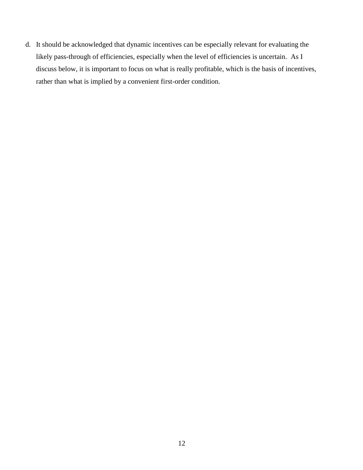d. It should be acknowledged that dynamic incentives can be especially relevant for evaluating the likely pass-through of efficiencies, especially when the level of efficiencies is uncertain. As I discuss below, it is important to focus on what is really profitable, which is the basis of incentives, rather than what is implied by a convenient first-order condition.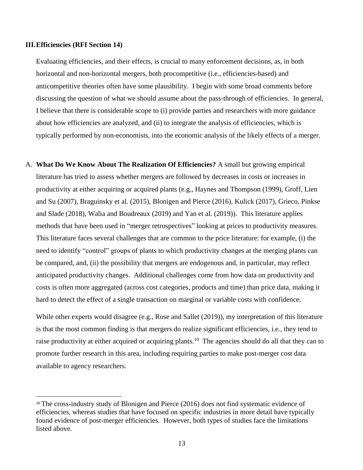### **III.Efficiencies (RFI Section 14)**

 $\overline{a}$ 

Evaluating efficiencies, and their effects, is crucial to many enforcement decisions, as, in both horizontal and non-horizontal mergers, both procompetitive (i.e., efficiencies-based) and anticompetitive theories often have some plausibility. I begin with some broad comments before discussing the question of what we should assume about the pass-through of efficiencies. In general, I believe that there is considerable scope to (i) provide parties and researchers with more guidance about how efficiencies are analyzed, and (ii) to integrate the analysis of efficiencies, which is typically performed by non-economists, into the economic analysis of the likely effects of a merger.

A. **What Do We Know About The Realization Of Efficiencies?** A small but growing empirical literature has tried to assess whether mergers are followed by decreases in costs or increases in productivity at either acquiring or acquired plants (e.g., Haynes and Thompson (1999), Groff, Lien and Su (2007), Braguinsky et al. (2015), Blonigen and Pierce (2016), Kulick (2017), Grieco, Pinkse and Slade (2018), Walia and Boudreaux (2019) and Yan et al. (2019)). This literature applies methods that have been used in "merger retrospectives" looking at prices to productivity measures. This literature faces several challenges that are common to the price literature: for example, (i) the need to identify "control" groups of plants to which productivity changes at the merging plants can be compared, and, (ii) the possibility that mergers are endogenous and, in particular, may reflect anticipated productivity changes. Additional challenges come from how data on productivity and costs is often more aggregated (across cost categories, products and time) than price data, making it hard to detect the effect of a single transaction on marginal or variable costs with confidence.

While other experts would disagree (e.g., Rose and Sallet (2019)), my interpretation of this literature is that the most common finding is that mergers do realize significant efficiencies, i.e., they tend to raise productivity at either acquired or acquiring plants.<sup>10</sup> The agencies should do all that they can to promote further research in this area, including requiring parties to make post-merger cost data available to agency researchers.

<sup>&</sup>lt;sup>10</sup> The cross-industry study of Blonigen and Pierce (2016) does not find systematic evidence of efficiencies, whereas studies that have focused on specific industries in more detail have typically found evidence of post-merger efficiencies. However, both types of studies face the limitations listed above.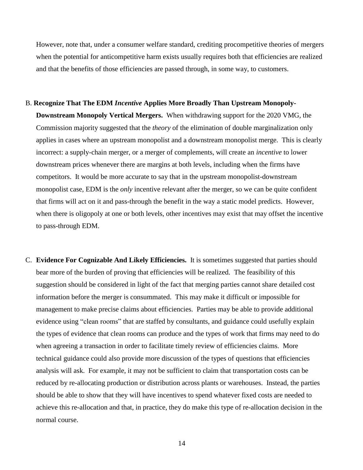However, note that, under a consumer welfare standard, crediting procompetitive theories of mergers when the potential for anticompetitive harm exists usually requires both that efficiencies are realized and that the benefits of those efficiencies are passed through, in some way, to customers.

#### B. **Recognize That The EDM** *Incentive* **Applies More Broadly Than Upstream Monopoly-**

**Downstream Monopoly Vertical Mergers.** When withdrawing support for the 2020 VMG, the Commission majority suggested that the *theory* of the elimination of double marginalization only applies in cases where an upstream monopolist and a downstream monopolist merge. This is clearly incorrect: a supply-chain merger, or a merger of complements, will create an *incentive* to lower downstream prices whenever there are margins at both levels, including when the firms have competitors. It would be more accurate to say that in the upstream monopolist-downstream monopolist case, EDM is the *only* incentive relevant after the merger, so we can be quite confident that firms will act on it and pass-through the benefit in the way a static model predicts. However, when there is oligopoly at one or both levels, other incentives may exist that may offset the incentive to pass-through EDM.

C. **Evidence For Cognizable And Likely Efficiencies.** It is sometimes suggested that parties should bear more of the burden of proving that efficiencies will be realized. The feasibility of this suggestion should be considered in light of the fact that merging parties cannot share detailed cost information before the merger is consummated. This may make it difficult or impossible for management to make precise claims about efficiencies. Parties may be able to provide additional evidence using "clean rooms" that are staffed by consultants, and guidance could usefully explain the types of evidence that clean rooms can produce and the types of work that firms may need to do when agreeing a transaction in order to facilitate timely review of efficiencies claims. More technical guidance could also provide more discussion of the types of questions that efficiencies analysis will ask. For example, it may not be sufficient to claim that transportation costs can be reduced by re-allocating production or distribution across plants or warehouses. Instead, the parties should be able to show that they will have incentives to spend whatever fixed costs are needed to achieve this re-allocation and that, in practice, they do make this type of re-allocation decision in the normal course.

14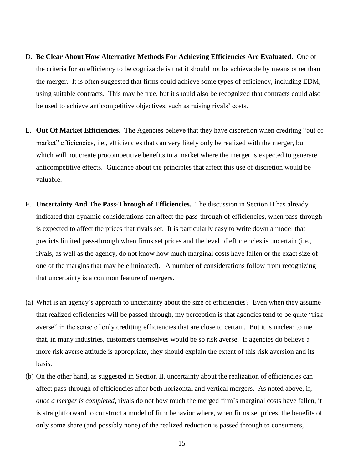- D. **Be Clear About How Alternative Methods For Achieving Efficiencies Are Evaluated.** One of the criteria for an efficiency to be cognizable is that it should not be achievable by means other than the merger. It is often suggested that firms could achieve some types of efficiency, including EDM, using suitable contracts. This may be true, but it should also be recognized that contracts could also be used to achieve anticompetitive objectives, such as raising rivals' costs.
- E. **Out Of Market Efficiencies.** The Agencies believe that they have discretion when crediting "out of market" efficiencies, i.e., efficiencies that can very likely only be realized with the merger, but which will not create procompetitive benefits in a market where the merger is expected to generate anticompetitive effects. Guidance about the principles that affect this use of discretion would be valuable.
- F. **Uncertainty And The Pass-Through of Efficiencies.** The discussion in Section II has already indicated that dynamic considerations can affect the pass-through of efficiencies, when pass-through is expected to affect the prices that rivals set. It is particularly easy to write down a model that predicts limited pass-through when firms set prices and the level of efficiencies is uncertain (i.e., rivals, as well as the agency, do not know how much marginal costs have fallen or the exact size of one of the margins that may be eliminated). A number of considerations follow from recognizing that uncertainty is a common feature of mergers.
- (a) What is an agency's approach to uncertainty about the size of efficiencies? Even when they assume that realized efficiencies will be passed through, my perception is that agencies tend to be quite "risk averse" in the sense of only crediting efficiencies that are close to certain. But it is unclear to me that, in many industries, customers themselves would be so risk averse. If agencies do believe a more risk averse attitude is appropriate, they should explain the extent of this risk aversion and its basis.
- (b) On the other hand, as suggested in Section II, uncertainty about the realization of efficiencies can affect pass-through of efficiencies after both horizontal and vertical mergers. As noted above, if, *once a merger is completed*, rivals do not how much the merged firm's marginal costs have fallen, it is straightforward to construct a model of firm behavior where, when firms set prices, the benefits of only some share (and possibly none) of the realized reduction is passed through to consumers,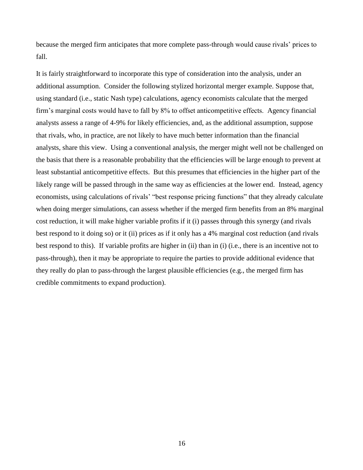because the merged firm anticipates that more complete pass-through would cause rivals' prices to fall.

It is fairly straightforward to incorporate this type of consideration into the analysis, under an additional assumption. Consider the following stylized horizontal merger example. Suppose that, using standard (i.e., static Nash type) calculations, agency economists calculate that the merged firm's marginal costs would have to fall by 8% to offset anticompetitive effects. Agency financial analysts assess a range of 4-9% for likely efficiencies, and, as the additional assumption, suppose that rivals, who, in practice, are not likely to have much better information than the financial analysts, share this view. Using a conventional analysis, the merger might well not be challenged on the basis that there is a reasonable probability that the efficiencies will be large enough to prevent at least substantial anticompetitive effects. But this presumes that efficiencies in the higher part of the likely range will be passed through in the same way as efficiencies at the lower end. Instead, agency economists, using calculations of rivals' "best response pricing functions" that they already calculate when doing merger simulations, can assess whether if the merged firm benefits from an 8% marginal cost reduction, it will make higher variable profits if it (i) passes through this synergy (and rivals best respond to it doing so) or it (ii) prices as if it only has a 4% marginal cost reduction (and rivals best respond to this). If variable profits are higher in (ii) than in (i) (i.e., there is an incentive not to pass-through), then it may be appropriate to require the parties to provide additional evidence that they really do plan to pass-through the largest plausible efficiencies (e.g., the merged firm has credible commitments to expand production).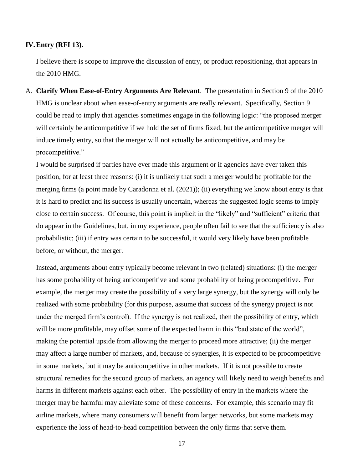### **IV.Entry (RFI 13).**

I believe there is scope to improve the discussion of entry, or product repositioning, that appears in the 2010 HMG.

A. **Clarify When Ease-of-Entry Arguments Are Relevant**. The presentation in Section 9 of the 2010 HMG is unclear about when ease-of-entry arguments are really relevant. Specifically, Section 9 could be read to imply that agencies sometimes engage in the following logic: "the proposed merger will certainly be anticompetitive if we hold the set of firms fixed, but the anticompetitive merger will induce timely entry, so that the merger will not actually be anticompetitive, and may be procompetitive."

I would be surprised if parties have ever made this argument or if agencies have ever taken this position, for at least three reasons: (i) it is unlikely that such a merger would be profitable for the merging firms (a point made by Caradonna et al. (2021)); (ii) everything we know about entry is that it is hard to predict and its success is usually uncertain, whereas the suggested logic seems to imply close to certain success. Of course, this point is implicit in the "likely" and "sufficient" criteria that do appear in the Guidelines, but, in my experience, people often fail to see that the sufficiency is also probabilistic; (iii) if entry was certain to be successful, it would very likely have been profitable before, or without, the merger.

Instead, arguments about entry typically become relevant in two (related) situations: (i) the merger has some probability of being anticompetitive and some probability of being procompetitive. For example, the merger may create the possibility of a very large synergy, but the synergy will only be realized with some probability (for this purpose, assume that success of the synergy project is not under the merged firm's control). If the synergy is not realized, then the possibility of entry, which will be more profitable, may offset some of the expected harm in this "bad state of the world", making the potential upside from allowing the merger to proceed more attractive; (ii) the merger may affect a large number of markets, and, because of synergies, it is expected to be procompetitive in some markets, but it may be anticompetitive in other markets. If it is not possible to create structural remedies for the second group of markets, an agency will likely need to weigh benefits and harms in different markets against each other. The possibility of entry in the markets where the merger may be harmful may alleviate some of these concerns. For example, this scenario may fit airline markets, where many consumers will benefit from larger networks, but some markets may experience the loss of head-to-head competition between the only firms that serve them.

17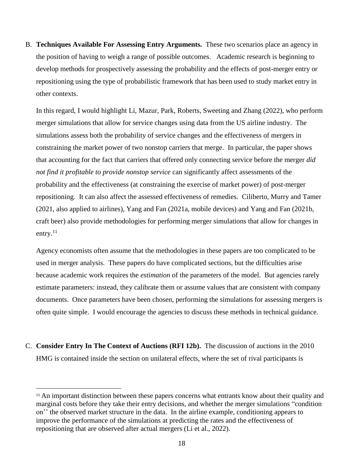B. **Techniques Available For Assessing Entry Arguments.** These two scenarios place an agency in the position of having to weigh a range of possible outcomes. Academic research is beginning to develop methods for prospectively assessing the probability and the effects of post-merger entry or repositioning using the type of probabilistic framework that has been used to study market entry in other contexts.

In this regard, I would highlight Li, Mazur, Park, Roberts, Sweeting and Zhang (2022), who perform merger simulations that allow for service changes using data from the US airline industry. The simulations assess both the probability of service changes and the effectiveness of mergers in constraining the market power of two nonstop carriers that merge. In particular, the paper shows that accounting for the fact that carriers that offered only connecting service before the merger *did not find it profitable to provide nonstop service* can significantly affect assessments of the probability and the effectiveness (at constraining the exercise of market power) of post-merger repositioning. It can also affect the assessed effectiveness of remedies. Ciliberto, Murry and Tamer (2021, also applied to airlines), Yang and Fan (2021a, mobile devices) and Yang and Fan (2021b, craft beer) also provide methodologies for performing merger simulations that allow for changes in entry. $^{11}$ 

Agency economists often assume that the methodologies in these papers are too complicated to be used in merger analysis. These papers do have complicated sections, but the difficulties arise because academic work requires the *estimation* of the parameters of the model. But agencies rarely estimate parameters: instead, they calibrate them or assume values that are consistent with company documents. Once parameters have been chosen, performing the simulations for assessing mergers is often quite simple. I would encourage the agencies to discuss these methods in technical guidance.

C. **Consider Entry In The Context of Auctions (RFI 12b).** The discussion of auctions in the 2010 HMG is contained inside the section on unilateral effects, where the set of rival participants is

<sup>&</sup>lt;sup>11</sup> An important distinction between these papers concerns what entrants know about their quality and marginal costs before they take their entry decisions, and whether the merger simulations "condition on'' the observed market structure in the data. In the airline example, conditioning appears to improve the performance of the simulations at predicting the rates and the effectiveness of repositioning that are observed after actual mergers (Li et al., 2022).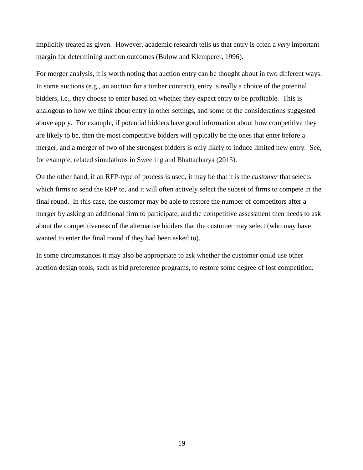implicitly treated as given. However, academic research tells us that entry is often a *very* important margin for determining auction outcomes (Bulow and Klemperer, 1996).

For merger analysis, it is worth noting that auction entry can be thought about in two different ways. In some auctions (e.g., an auction for a timber contract), entry is really a choice of the potential bidders, i.e., they choose to enter based on whether they expect entry to be profitable. This is analogous to how we think about entry in other settings, and some of the considerations suggested above apply. For example, if potential bidders have good information about how competitive they are likely to be, then the most competitive bidders will typically be the ones that enter before a merger, and a merger of two of the strongest bidders is only likely to induce limited new entry. See, for example, related simulations in Sweeting and Bhattacharya (2015).

On the other hand, if an RFP-type of process is used, it may be that it is the *customer* that selects which firms to send the RFP to, and it will often actively select the subset of firms to compete in the final round. In this case, the customer may be able to restore the number of competitors after a merger by asking an additional firm to participate, and the competitive assessment then needs to ask about the competitiveness of the alternative bidders that the customer may select (who may have wanted to enter the final round if they had been asked to).

In some circumstances it may also be appropriate to ask whether the customer could use other auction design tools, such as bid preference programs, to restore some degree of lost competition.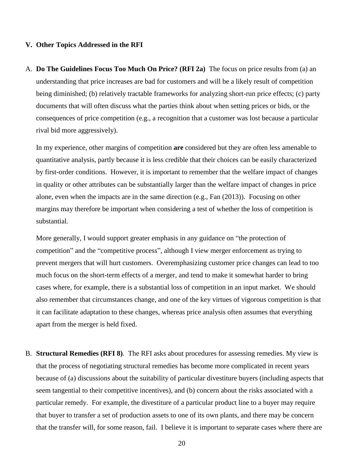#### **V. Other Topics Addressed in the RFI**

A. **Do The Guidelines Focus Too Much On Price? (RFI 2a)** The focus on price results from (a) an understanding that price increases are bad for customers and will be a likely result of competition being diminished; (b) relatively tractable frameworks for analyzing short-run price effects; (c) party documents that will often discuss what the parties think about when setting prices or bids, or the consequences of price competition (e.g., a recognition that a customer was lost because a particular rival bid more aggressively).

In my experience, other margins of competition **are** considered but they are often less amenable to quantitative analysis, partly because it is less credible that their choices can be easily characterized by first-order conditions. However, it is important to remember that the welfare impact of changes in quality or other attributes can be substantially larger than the welfare impact of changes in price alone, even when the impacts are in the same direction (e.g., Fan (2013)). Focusing on other margins may therefore be important when considering a test of whether the loss of competition is substantial.

More generally, I would support greater emphasis in any guidance on "the protection of competition" and the "competitive process", although I view merger enforcement as trying to prevent mergers that will hurt customers. Overemphasizing customer price changes can lead to too much focus on the short-term effects of a merger, and tend to make it somewhat harder to bring cases where, for example, there is a substantial loss of competition in an input market. We should also remember that circumstances change, and one of the key virtues of vigorous competition is that it can facilitate adaptation to these changes, whereas price analysis often assumes that everything apart from the merger is held fixed.

B. **Structural Remedies (RFI 8)**. The RFI asks about procedures for assessing remedies. My view is that the process of negotiating structural remedies has become more complicated in recent years because of (a) discussions about the suitability of particular divestiture buyers (including aspects that seem tangential to their competitive incentives), and (b) concern about the risks associated with a particular remedy. For example, the divestiture of a particular product line to a buyer may require that buyer to transfer a set of production assets to one of its own plants, and there may be concern that the transfer will, for some reason, fail. I believe it is important to separate cases where there are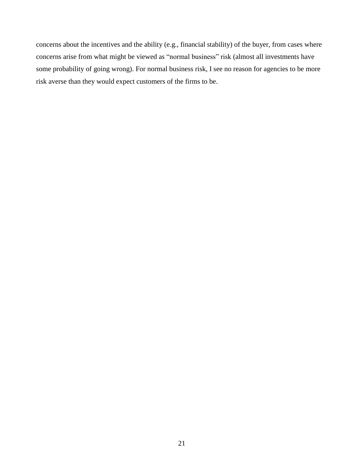concerns about the incentives and the ability (e.g., financial stability) of the buyer, from cases where concerns arise from what might be viewed as "normal business" risk (almost all investments have some probability of going wrong). For normal business risk, I see no reason for agencies to be more risk averse than they would expect customers of the firms to be.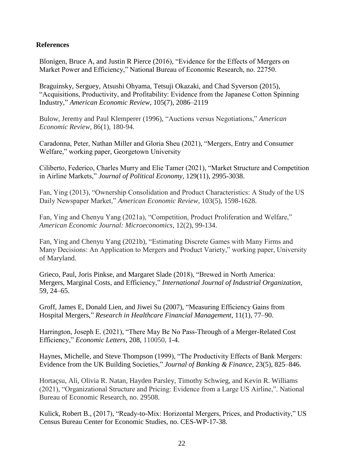### **References**

Blonigen, Bruce A, and Justin R Pierce (2016), "Evidence for the Effects of Mergers on Market Power and Efficiency," National Bureau of Economic Research, no. 22750.

Braguinsky, Serguey, Atsushi Ohyama, Tetsuji Okazaki, and Chad Syverson (2015), "Acquisitions, Productivity, and Profitability: Evidence from the Japanese Cotton Spinning Industry," *American Economic Review*, 105(7), 2086–2119

Bulow, Jeremy and Paul Klemperer (1996), "Auctions versus Negotiations," *American Economic Review*, 86(1), 180-94.

Caradonna, Peter, Nathan Miller and Gloria Sheu (2021), "Mergers, Entry and Consumer Welfare," working paper, Georgetown University

Ciliberto, Federico, Charles Murry and Elie Tamer (2021), "Market Structure and Competition in Airline Markets," *Journal of Political Economy*, 129(11), 2995-3038.

Fan, Ying (2013), "Ownership Consolidation and Product Characteristics: A Study of the US Daily Newspaper Market," *American Economic Review*, 103(5), 1598-1628.

Fan, Ying and Chenyu Yang (2021a), "Competition, Product Proliferation and Welfare," *American Economic Journal: Microeconomics*, 12(2), 99-134.

Fan, Ying and Chenyu Yang (2021b), "Estimating Discrete Games with Many Firms and Many Decisions: An Application to Mergers and Product Variety," working paper, University of Maryland.

Grieco, Paul, Joris Pinkse, and Margaret Slade (2018), "Brewed in North America: Mergers, Marginal Costs, and Efficiency," *International Journal of Industrial Organization*, 59, 24–65.

Groff, James E, Donald Lien, and Jiwei Su (2007), "Measuring Efficiency Gains from Hospital Mergers," *Research in Healthcare Financial Management*, 11(1), 77–90.

Harrington, Joseph E. (2021), "There May Be No Pass-Through of a Merger-Related Cost Efficiency," *Economic Letters*, 208, 110050, 1-4.

Haynes, Michelle, and Steve Thompson (1999), "The Productivity Effects of Bank Mergers: Evidence from the UK Building Societies," *Journal of Banking & Finance*, 23(5), 825–846.

Hortaçsu, Ali, Olivia R. Natan, Hayden Parsley, Timothy Schwieg, and Kevin R. Williams (2021), "Organizational Structure and Pricing: Evidence from a Large US Airline,". National Bureau of Economic Research, no. 29508.

Kulick, Robert B., (2017), "Ready-to-Mix: Horizontal Mergers, Prices, and Productivity," US Census Bureau Center for Economic Studies, no. CES-WP-17-38.